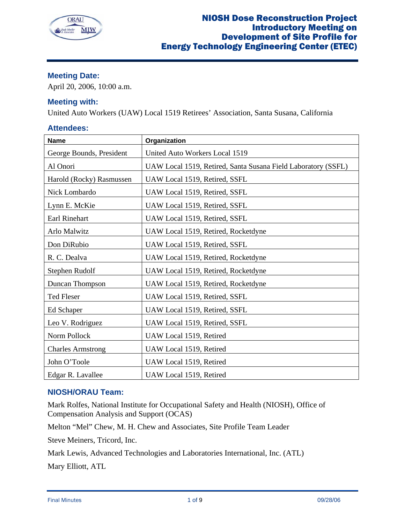

# **Meeting Date:**

April 20, 2006, 10:00 a.m.

# **Meeting with:**

United Auto Workers (UAW) Local 1519 Retirees' Association, Santa Susana, California

## **Attendees:**

| <b>Name</b>              | Organization                                                  |
|--------------------------|---------------------------------------------------------------|
| George Bounds, President | United Auto Workers Local 1519                                |
| Al Onori                 | UAW Local 1519, Retired, Santa Susana Field Laboratory (SSFL) |
| Harold (Rocky) Rasmussen | UAW Local 1519, Retired, SSFL                                 |
| Nick Lombardo            | UAW Local 1519, Retired, SSFL                                 |
| Lynn E. McKie            | UAW Local 1519, Retired, SSFL                                 |
| Earl Rinehart            | UAW Local 1519, Retired, SSFL                                 |
| Arlo Malwitz             | UAW Local 1519, Retired, Rocketdyne                           |
| Don DiRubio              | UAW Local 1519, Retired, SSFL                                 |
| R. C. Dealva             | UAW Local 1519, Retired, Rocketdyne                           |
| Stephen Rudolf           | UAW Local 1519, Retired, Rocketdyne                           |
| Duncan Thompson          | UAW Local 1519, Retired, Rocketdyne                           |
| Ted Fleser               | UAW Local 1519, Retired, SSFL                                 |
| Ed Schaper               | UAW Local 1519, Retired, SSFL                                 |
| Leo V. Rodriguez         | UAW Local 1519, Retired, SSFL                                 |
| Norm Pollock             | UAW Local 1519, Retired                                       |
| <b>Charles Armstrong</b> | UAW Local 1519, Retired                                       |
| John O'Toole             | UAW Local 1519, Retired                                       |
| Edgar R. Lavallee        | UAW Local 1519, Retired                                       |

# **NIOSH/ORAU Team:**

Mark Rolfes, National Institute for Occupational Safety and Health (NIOSH), Office of Compensation Analysis and Support (OCAS)

Melton "Mel" Chew, M. H. Chew and Associates, Site Profile Team Leader

Steve Meiners, Tricord, Inc.

Mark Lewis, Advanced Technologies and Laboratories International, Inc. (ATL)

Mary Elliott, ATL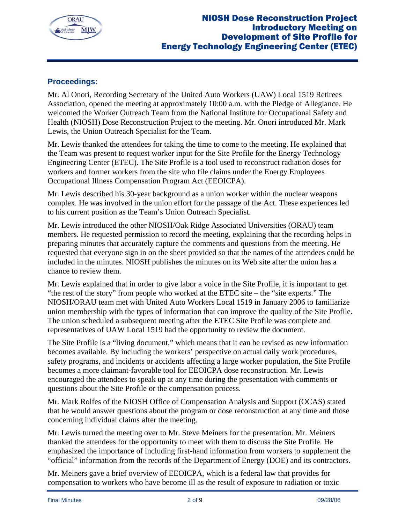

# **Proceedings:**

Mr. Al Onori, Recording Secretary of the United Auto Workers (UAW) Local 1519 Retirees Association, opened the meeting at approximately 10:00 a.m. with the Pledge of Allegiance. He welcomed the Worker Outreach Team from the National Institute for Occupational Safety and Health (NIOSH) Dose Reconstruction Project to the meeting. Mr. Onori introduced Mr. Mark Lewis, the Union Outreach Specialist for the Team.

Mr. Lewis thanked the attendees for taking the time to come to the meeting. He explained that the Team was present to request worker input for the Site Profile for the Energy Technology Engineering Center (ETEC). The Site Profile is a tool used to reconstruct radiation doses for workers and former workers from the site who file claims under the Energy Employees Occupational Illness Compensation Program Act (EEOICPA).

Mr. Lewis described his 30-year background as a union worker within the nuclear weapons complex. He was involved in the union effort for the passage of the Act. These experiences led to his current position as the Team's Union Outreach Specialist.

Mr. Lewis introduced the other NIOSH/Oak Ridge Associated Universities (ORAU) team members. He requested permission to record the meeting, explaining that the recording helps in preparing minutes that accurately capture the comments and questions from the meeting. He requested that everyone sign in on the sheet provided so that the names of the attendees could be included in the minutes. NIOSH publishes the minutes on its Web site after the union has a chance to review them.

Mr. Lewis explained that in order to give labor a voice in the Site Profile, it is important to get "the rest of the story" from people who worked at the ETEC site – the "site experts." The NIOSH/ORAU team met with United Auto Workers Local 1519 in January 2006 to familiarize union membership with the types of information that can improve the quality of the Site Profile. The union scheduled a subsequent meeting after the ETEC Site Profile was complete and representatives of UAW Local 1519 had the opportunity to review the document.

The Site Profile is a "living document," which means that it can be revised as new information becomes available. By including the workers' perspective on actual daily work procedures, safety programs, and incidents or accidents affecting a large worker population, the Site Profile becomes a more claimant-favorable tool for EEOICPA dose reconstruction. Mr. Lewis encouraged the attendees to speak up at any time during the presentation with comments or questions about the Site Profile or the compensation process.

Mr. Mark Rolfes of the NIOSH Office of Compensation Analysis and Support (OCAS) stated that he would answer questions about the program or dose reconstruction at any time and those concerning individual claims after the meeting.

Mr. Lewis turned the meeting over to Mr. Steve Meiners for the presentation. Mr. Meiners thanked the attendees for the opportunity to meet with them to discuss the Site Profile. He emphasized the importance of including first-hand information from workers to supplement the "official" information from the records of the Department of Energy (DOE) and its contractors.

Mr. Meiners gave a brief overview of EEOICPA, which is a federal law that provides for compensation to workers who have become ill as the result of exposure to radiation or toxic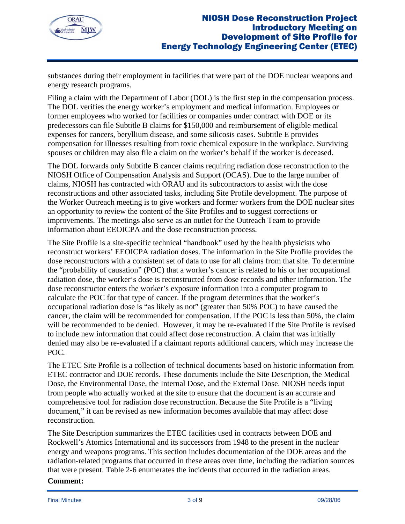

substances during their employment in facilities that were part of the DOE nuclear weapons and energy research programs.

Filing a claim with the Department of Labor (DOL) is the first step in the compensation process. The DOL verifies the energy worker's employment and medical information. Employees or former employees who worked for facilities or companies under contract with DOE or its predecessors can file Subtitle B claims for \$150,000 and reimbursement of eligible medical expenses for cancers, beryllium disease, and some silicosis cases. Subtitle E provides compensation for illnesses resulting from toxic chemical exposure in the workplace. Surviving spouses or children may also file a claim on the worker's behalf if the worker is deceased.

The DOL forwards only Subtitle B cancer claims requiring radiation dose reconstruction to the NIOSH Office of Compensation Analysis and Support (OCAS). Due to the large number of claims, NIOSH has contracted with ORAU and its subcontractors to assist with the dose reconstructions and other associated tasks, including Site Profile development. The purpose of the Worker Outreach meeting is to give workers and former workers from the DOE nuclear sites an opportunity to review the content of the Site Profiles and to suggest corrections or improvements. The meetings also serve as an outlet for the Outreach Team to provide information about EEOICPA and the dose reconstruction process.

The Site Profile is a site-specific technical "handbook" used by the health physicists who reconstruct workers' EEOICPA radiation doses. The information in the Site Profile provides the dose reconstructors with a consistent set of data to use for all claims from that site. To determine the "probability of causation" (POC) that a worker's cancer is related to his or her occupational radiation dose, the worker's dose is reconstructed from dose records and other information. The dose reconstructor enters the worker's exposure information into a computer program to calculate the POC for that type of cancer. If the program determines that the worker's occupational radiation dose is "as likely as not" (greater than 50% POC) to have caused the cancer, the claim will be recommended for compensation. If the POC is less than 50%, the claim will be recommended to be denied. However, it may be re-evaluated if the Site Profile is revised to include new information that could affect dose reconstruction. A claim that was initially denied may also be re-evaluated if a claimant reports additional cancers, which may increase the POC.

The ETEC Site Profile is a collection of technical documents based on historic information from ETEC contractor and DOE records. These documents include the Site Description, the Medical Dose, the Environmental Dose, the Internal Dose, and the External Dose. NIOSH needs input from people who actually worked at the site to ensure that the document is an accurate and comprehensive tool for radiation dose reconstruction. Because the Site Profile is a "living document," it can be revised as new information becomes available that may affect dose reconstruction.

The Site Description summarizes the ETEC facilities used in contracts between DOE and Rockwell's Atomics International and its successors from 1948 to the present in the nuclear energy and weapons programs. This section includes documentation of the DOE areas and the radiation-related programs that occurred in these areas over time, including the radiation sources that were present. Table 2-6 enumerates the incidents that occurred in the radiation areas.

## **Comment:**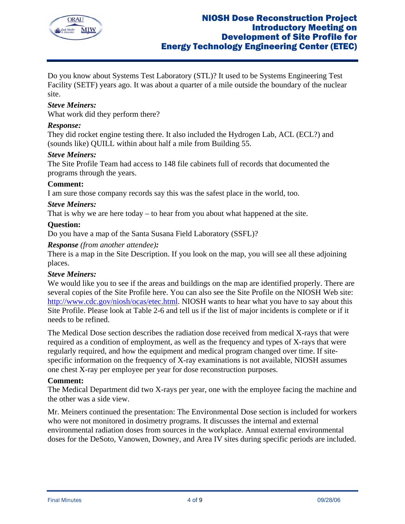

Do you know about Systems Test Laboratory (STL)? It used to be Systems Engineering Test Facility (SETF) years ago. It was about a quarter of a mile outside the boundary of the nuclear site.

## *Steve Meiners:*

What work did they perform there?

## *Response:*

They did rocket engine testing there. It also included the Hydrogen Lab, ACL (ECL?) and (sounds like) QUILL within about half a mile from Building 55.

## *Steve Meiners:*

The Site Profile Team had access to 148 file cabinets full of records that documented the programs through the years.

## **Comment:**

I am sure those company records say this was the safest place in the world, too.

#### *Steve Meiners:*

That is why we are here today – to hear from you about what happened at the site.

## **Question:**

Do you have a map of the Santa Susana Field Laboratory (SSFL)?

## *Response (from another attendee):*

There is a map in the Site Description. If you look on the map, you will see all these adjoining places.

## *Steve Meiners:*

We would like you to see if the areas and buildings on the map are identified properly. There are several copies of the Site Profile here. You can also see the Site Profile on the NIOSH Web site: http://www.cdc.gov/niosh/ocas/etec.html. NIOSH wants to hear what you have to say about this Site Profile. Please look at Table 2-6 and tell us if the list of major incidents is complete or if it needs to be refined.

The Medical Dose section describes the radiation dose received from medical X-rays that were required as a condition of employment, as well as the frequency and types of X-rays that were regularly required, and how the equipment and medical program changed over time. If sitespecific information on the frequency of X-ray examinations is not available, NIOSH assumes one chest X-ray per employee per year for dose reconstruction purposes.

## **Comment:**

The Medical Department did two X-rays per year, one with the employee facing the machine and the other was a side view.

Mr. Meiners continued the presentation: The Environmental Dose section is included for workers who were not monitored in dosimetry programs. It discusses the internal and external environmental radiation doses from sources in the workplace. Annual external environmental doses for the DeSoto, Vanowen, Downey, and Area IV sites during specific periods are included.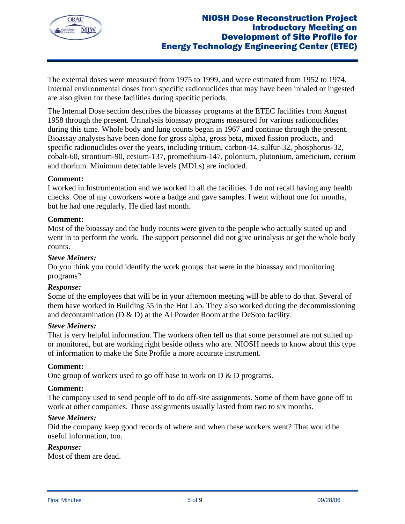

The external doses were measured from 1975 to 1999, and were estimated from 1952 to 1974. Internal environmental doses from specific radionuclides that may have been inhaled or ingested are also given for these facilities during specific periods.

The Internal Dose section describes the bioassay programs at the ETEC facilities from August 1958 through the present. Urinalysis bioassay programs measured for various radionuclides during this time. Whole body and lung counts began in 1967 and continue through the present. Bioassay analyses have been done for gross alpha, gross beta, mixed fission products, and specific radionuclides over the years, including tritium, carbon-14, sulfur-32, phosphorus-32, cobalt-60, strontium-90, cesium-137, promethium-147, polonium, plutonium, americium, cerium and thorium. Minimum detectable levels (MDLs) are included.

## **Comment:**

I worked in Instrumentation and we worked in all the facilities. I do not recall having any health checks. One of my coworkers wore a badge and gave samples. I went without one for months, but he had one regularly. He died last month.

## **Comment:**

Most of the bioassay and the body counts were given to the people who actually suited up and went in to perform the work. The support personnel did not give urinalysis or get the whole body counts.

## *Steve Meiners:*

Do you think you could identify the work groups that were in the bioassay and monitoring programs?

## *Response:*

Some of the employees that will be in your afternoon meeting will be able to do that. Several of them have worked in Building 55 in the Hot Lab. They also worked during the decommissioning and decontamination (D & D) at the AI Powder Room at the DeSoto facility.

## *Steve Meiners:*

That is very helpful information. The workers often tell us that some personnel are not suited up or monitored, but are working right beside others who are. NIOSH needs to know about this type of information to make the Site Profile a more accurate instrument.

## **Comment:**

One group of workers used to go off base to work on D & D programs.

## **Comment:**

The company used to send people off to do off-site assignments. Some of them have gone off to work at other companies. Those assignments usually lasted from two to six months.

## *Steve Meiners:*

Did the company keep good records of where and when these workers went? That would be useful information, too.

## *Response:*

Most of them are dead.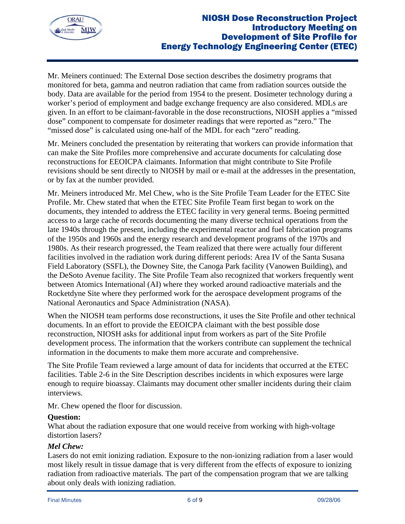

Mr. Meiners continued: The External Dose section describes the dosimetry programs that monitored for beta, gamma and neutron radiation that came from radiation sources outside the body. Data are available for the period from 1954 to the present. Dosimeter technology during a worker's period of employment and badge exchange frequency are also considered. MDLs are given. In an effort to be claimant-favorable in the dose reconstructions, NIOSH applies a "missed dose" component to compensate for dosimeter readings that were reported as "zero." The "missed dose" is calculated using one-half of the MDL for each "zero" reading.

Mr. Meiners concluded the presentation by reiterating that workers can provide information that can make the Site Profiles more comprehensive and accurate documents for calculating dose reconstructions for EEOICPA claimants. Information that might contribute to Site Profile revisions should be sent directly to NIOSH by mail or e-mail at the addresses in the presentation, or by fax at the number provided.

Mr. Meiners introduced Mr. Mel Chew, who is the Site Profile Team Leader for the ETEC Site Profile. Mr. Chew stated that when the ETEC Site Profile Team first began to work on the documents, they intended to address the ETEC facility in very general terms. Boeing permitted access to a large cache of records documenting the many diverse technical operations from the late 1940s through the present, including the experimental reactor and fuel fabrication programs of the 1950s and 1960s and the energy research and development programs of the 1970s and 1980s. As their research progressed, the Team realized that there were actually four different facilities involved in the radiation work during different periods: Area IV of the Santa Susana Field Laboratory (SSFL), the Downey Site, the Canoga Park facility (Vanowen Building), and the DeSoto Avenue facility. The Site Profile Team also recognized that workers frequently went between Atomics International (AI) where they worked around radioactive materials and the Rocketdyne Site where they performed work for the aerospace development programs of the National Aeronautics and Space Administration (NASA).

When the NIOSH team performs dose reconstructions, it uses the Site Profile and other technical documents. In an effort to provide the EEOICPA claimant with the best possible dose reconstruction, NIOSH asks for additional input from workers as part of the Site Profile development process. The information that the workers contribute can supplement the technical information in the documents to make them more accurate and comprehensive.

The Site Profile Team reviewed a large amount of data for incidents that occurred at the ETEC facilities. Table 2-6 in the Site Description describes incidents in which exposures were large enough to require bioassay. Claimants may document other smaller incidents during their claim interviews.

Mr. Chew opened the floor for discussion.

## **Question:**

What about the radiation exposure that one would receive from working with high-voltage distortion lasers?

## *Mel Chew:*

Lasers do not emit ionizing radiation. Exposure to the non-ionizing radiation from a laser would most likely result in tissue damage that is very different from the effects of exposure to ionizing radiation from radioactive materials. The part of the compensation program that we are talking about only deals with ionizing radiation.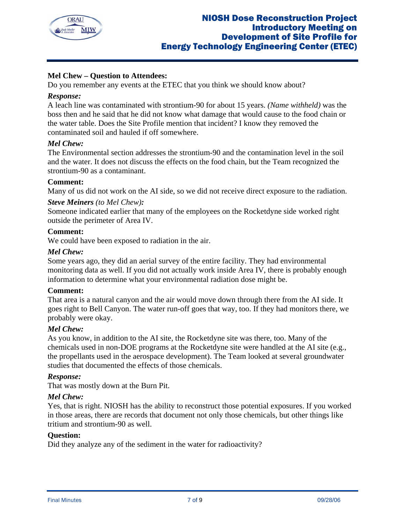

## **Mel Chew – Question to Attendees:**

Do you remember any events at the ETEC that you think we should know about?

## *Response:*

A leach line was contaminated with strontium-90 for about 15 years. *(Name withheld)* was the boss then and he said that he did not know what damage that would cause to the food chain or the water table. Does the Site Profile mention that incident? I know they removed the contaminated soil and hauled if off somewhere.

## *Mel Chew:*

The Environmental section addresses the strontium-90 and the contamination level in the soil and the water. It does not discuss the effects on the food chain, but the Team recognized the strontium-90 as a contaminant.

## **Comment:**

Many of us did not work on the AI side, so we did not receive direct exposure to the radiation.

## *Steve Meiners (to Mel Chew):*

Someone indicated earlier that many of the employees on the Rocketdyne side worked right outside the perimeter of Area IV.

## **Comment:**

We could have been exposed to radiation in the air.

## *Mel Chew:*

Some years ago, they did an aerial survey of the entire facility. They had environmental monitoring data as well. If you did not actually work inside Area IV, there is probably enough information to determine what your environmental radiation dose might be.

## **Comment:**

That area is a natural canyon and the air would move down through there from the AI side. It goes right to Bell Canyon. The water run-off goes that way, too. If they had monitors there, we probably were okay.

# *Mel Chew:*

As you know, in addition to the AI site, the Rocketdyne site was there, too. Many of the chemicals used in non-DOE programs at the Rocketdyne site were handled at the AI site (e.g., the propellants used in the aerospace development). The Team looked at several groundwater studies that documented the effects of those chemicals.

## *Response:*

That was mostly down at the Burn Pit.

## *Mel Chew:*

Yes, that is right. NIOSH has the ability to reconstruct those potential exposures. If you worked in those areas, there are records that document not only those chemicals, but other things like tritium and strontium-90 as well.

## **Question:**

Did they analyze any of the sediment in the water for radioactivity?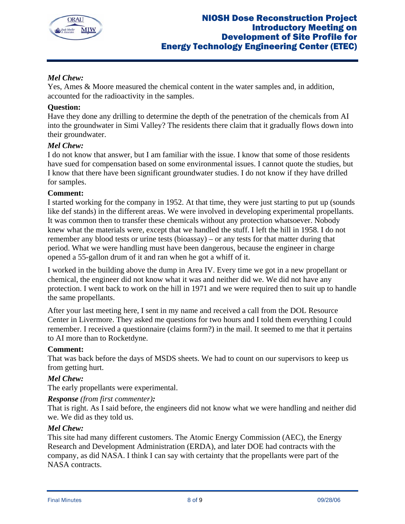

# *Mel Chew:*

Yes, Ames & Moore measured the chemical content in the water samples and, in addition, accounted for the radioactivity in the samples.

## **Question:**

Have they done any drilling to determine the depth of the penetration of the chemicals from AI into the groundwater in Simi Valley? The residents there claim that it gradually flows down into their groundwater.

## *Mel Chew:*

I do not know that answer, but I am familiar with the issue. I know that some of those residents have sued for compensation based on some environmental issues. I cannot quote the studies, but I know that there have been significant groundwater studies. I do not know if they have drilled for samples.

## **Comment:**

I started working for the company in 1952. At that time, they were just starting to put up (sounds like def stands) in the different areas. We were involved in developing experimental propellants. It was common then to transfer these chemicals without any protection whatsoever. Nobody knew what the materials were, except that we handled the stuff. I left the hill in 1958. I do not remember any blood tests or urine tests (bioassay) – or any tests for that matter during that period. What we were handling must have been dangerous, because the engineer in charge opened a 55-gallon drum of it and ran when he got a whiff of it.

I worked in the building above the dump in Area IV. Every time we got in a new propellant or chemical, the engineer did not know what it was and neither did we. We did not have any protection. I went back to work on the hill in 1971 and we were required then to suit up to handle the same propellants.

After your last meeting here, I sent in my name and received a call from the DOL Resource Center in Livermore. They asked me questions for two hours and I told them everything I could remember. I received a questionnaire (claims form?) in the mail. It seemed to me that it pertains to AI more than to Rocketdyne.

## **Comment:**

That was back before the days of MSDS sheets. We had to count on our supervisors to keep us from getting hurt.

## *Mel Chew:*

The early propellants were experimental.

## *Response (from first commenter):*

That is right. As I said before, the engineers did not know what we were handling and neither did we. We did as they told us.

## *Mel Chew:*

This site had many different customers. The Atomic Energy Commission (AEC), the Energy Research and Development Administration (ERDA), and later DOE had contracts with the company, as did NASA. I think I can say with certainty that the propellants were part of the NASA contracts.